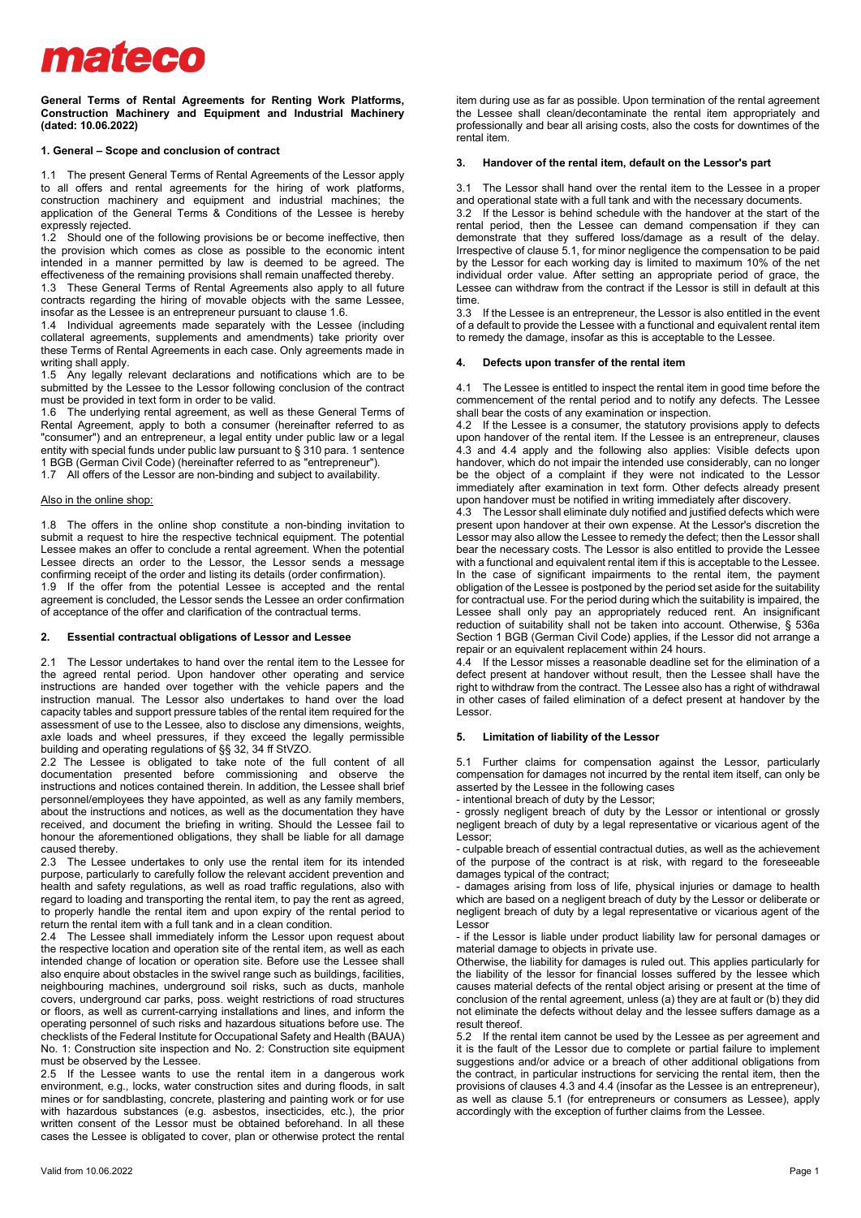# mateco

**General Terms of Rental Agreements for Renting Work Platforms, Construction Machinery and Equipment and Industrial Machinery (dated: 10.06.2022)** 

# **1. General – Scope and conclusion of contract**

1.1 The present General Terms of Rental Agreements of the Lessor apply to all offers and rental agreements for the hiring of work platforms, construction machinery and equipment and industrial machines; the application of the General Terms & Conditions of the Lessee is hereby expressly rejected.

1.2 Should one of the following provisions be or become ineffective, then the provision which comes as close as possible to the economic intent intended in a manner permitted by law is deemed to be agreed. The effectiveness of the remaining provisions shall remain unaffected thereby.

1.3 These General Terms of Rental Agreements also apply to all future contracts regarding the hiring of movable objects with the same Lessee, insofar as the Lessee is an entrepreneur pursuant to clause 1.6.

1.4 Individual agreements made separately with the Lessee (including collateral agreements, supplements and amendments) take priority over these Terms of Rental Agreements in each case. Only agreements made in writing shall apply.

1.5 Any legally relevant declarations and notifications which are to be submitted by the Lessee to the Lessor following conclusion of the contract must be provided in text form in order to be valid.

1.6 The underlying rental agreement, as well as these General Terms of Rental Agreement, apply to both a consumer (hereinafter referred to as "consumer") and an entrepreneur, a legal entity under public law or a legal entity with special funds under public law pursuant to § 310 para. 1 sentence 1 BGB (German Civil Code) (hereinafter referred to as "entrepreneur").

1.7 All offers of the Lessor are non-binding and subject to availability.

# Also in the online shop:

1.8 The offers in the online shop constitute a non-binding invitation to submit a request to hire the respective technical equipment. The potential Lessee makes an offer to conclude a rental agreement. When the potential Lessee directs an order to the Lessor, the Lessor sends a message confirming receipt of the order and listing its details (order confirmation). 1.9 If the offer from the potential Lessee is accepted and the rental

agreement is concluded, the Lessor sends the Lessee an order confirmation of acceptance of the offer and clarification of the contractual terms.

### **2. Essential contractual obligations of Lessor and Lessee**

2.1 The Lessor undertakes to hand over the rental item to the Lessee for the agreed rental period. Upon handover other operating and service instructions are handed over together with the vehicle papers and the instruction manual. The Lessor also undertakes to hand over the load capacity tables and support pressure tables of the rental item required for the assessment of use to the Lessee, also to disclose any dimensions, weights, axle loads and wheel pressures, if they exceed the legally permissible building and operating regulations of §§ 32, 34 ff StVZO.

2.2 The Lessee is obligated to take note of the full content of all documentation presented before commissioning and observe the instructions and notices contained therein. In addition, the Lessee shall brief personnel/employees they have appointed, as well as any family members, about the instructions and notices, as well as the documentation they have received, and document the briefing in writing. Should the Lessee fail to honour the aforementioned obligations, they shall be liable for all damage caused thereby.

2.3 The Lessee undertakes to only use the rental item for its intended purpose, particularly to carefully follow the relevant accident prevention and health and safety regulations, as well as road traffic regulations, also with regard to loading and transporting the rental item, to pay the rent as agreed, to properly handle the rental item and upon expiry of the rental period to return the rental item with a full tank and in a clean condition.

2.4 The Lessee shall immediately inform the Lessor upon request about the respective location and operation site of the rental item, as well as each intended change of location or operation site. Before use the Lessee shall also enquire about obstacles in the swivel range such as buildings, facilities, neighbouring machines, underground soil risks, such as ducts, manhole covers, underground car parks, poss. weight restrictions of road structures or floors, as well as current-carrying installations and lines, and inform the operating personnel of such risks and hazardous situations before use. The checklists of the Federal Institute for Occupational Safety and Health (BAUA) No. 1: Construction site inspection and No. 2: Construction site equipment must be observed by the Lessee.

2.5 If the Lessee wants to use the rental item in a dangerous work environment, e.g., locks, water construction sites and during floods, in salt mines or for sandblasting, concrete, plastering and painting work or for use with hazardous substances (e.g. asbestos, insecticides, etc.), the prior written consent of the Lessor must be obtained beforehand. In all these cases the Lessee is obligated to cover, plan or otherwise protect the rental

item during use as far as possible. Upon termination of the rental agreement the Lessee shall clean/decontaminate the rental item appropriately and professionally and bear all arising costs, also the costs for downtimes of the rental item.

#### **3. Handover of the rental item, default on the Lessor's part**

3.1 The Lessor shall hand over the rental item to the Lessee in a proper and operational state with a full tank and with the necessary documents. 3.2 If the Lessor is behind schedule with the handover at the start of the rental period, then the Lessee can demand compensation if they can demonstrate that they suffered loss/damage as a result of the delay. Irrespective of clause 5.1, for minor negligence the compensation to be paid by the Lessor for each working day is limited to maximum 10% of the net individual order value. After setting an appropriate period of grace, the Lessee can withdraw from the contract if the Lessor is still in default at this time.

3.3 If the Lessee is an entrepreneur, the Lessor is also entitled in the event of a default to provide the Lessee with a functional and equivalent rental item to remedy the damage, insofar as this is acceptable to the Lessee.

### **4. Defects upon transfer of the rental item**

4.1 The Lessee is entitled to inspect the rental item in good time before the commencement of the rental period and to notify any defects. The Lessee shall bear the costs of any examination or inspection.

4.2 If the Lessee is a consumer, the statutory provisions apply to defects upon handover of the rental item. If the Lessee is an entrepreneur, clauses 4.3 and 4.4 apply and the following also applies: Visible defects upon handover, which do not impair the intended use considerably, can no longer be the object of a complaint if they were not indicated to the Lessor immediately after examination in text form. Other defects already present upon handover must be notified in writing immediately after discovery.

4.3 The Lessor shall eliminate duly notified and justified defects which were present upon handover at their own expense. At the Lessor's discretion the Lessor may also allow the Lessee to remedy the defect; then the Lessor shall bear the necessary costs. The Lessor is also entitled to provide the Lessee with a functional and equivalent rental item if this is acceptable to the Lessee. In the case of significant impairments to the rental item, the payment obligation of the Lessee is postponed by the period set aside for the suitability for contractual use. For the period during which the suitability is impaired, the Lessee shall only pay an appropriately reduced rent. An insignificant reduction of suitability shall not be taken into account. Otherwise, § 536a Section 1 BGB (German Civil Code) applies, if the Lessor did not arrange a repair or an equivalent replacement within 24 hours.

4.4 If the Lessor misses a reasonable deadline set for the elimination of a defect present at handover without result, then the Lessee shall have the right to withdraw from the contract. The Lessee also has a right of withdrawal in other cases of failed elimination of a defect present at handover by the Lessor.

#### **5. Limitation of liability of the Lessor**

5.1 Further claims for compensation against the Lessor, particularly compensation for damages not incurred by the rental item itself, can only be asserted by the Lessee in the following cases

- intentional breach of duty by the Lessor;

- grossly negligent breach of duty by the Lessor or intentional or grossly negligent breach of duty by a legal representative or vicarious agent of the Lessor;

- culpable breach of essential contractual duties, as well as the achievement of the purpose of the contract is at risk, with regard to the foreseeable damages typical of the contract;

- damages arising from loss of life, physical injuries or damage to health which are based on a negligent breach of duty by the Lessor or deliberate or negligent breach of duty by a legal representative or vicarious agent of the Lessor

- if the Lessor is liable under product liability law for personal damages or material damage to objects in private use.

Otherwise, the liability for damages is ruled out. This applies particularly for the liability of the lessor for financial losses suffered by the lessee which causes material defects of the rental object arising or present at the time of conclusion of the rental agreement, unless (a) they are at fault or (b) they did not eliminate the defects without delay and the lessee suffers damage as a result thereof.

5.2 If the rental item cannot be used by the Lessee as per agreement and it is the fault of the Lessor due to complete or partial failure to implement suggestions and/or advice or a breach of other additional obligations from the contract, in particular instructions for servicing the rental item, then the provisions of clauses 4.3 and 4.4 (insofar as the Lessee is an entrepreneur), as well as clause 5.1 (for entrepreneurs or consumers as Lessee), apply accordingly with the exception of further claims from the Lessee.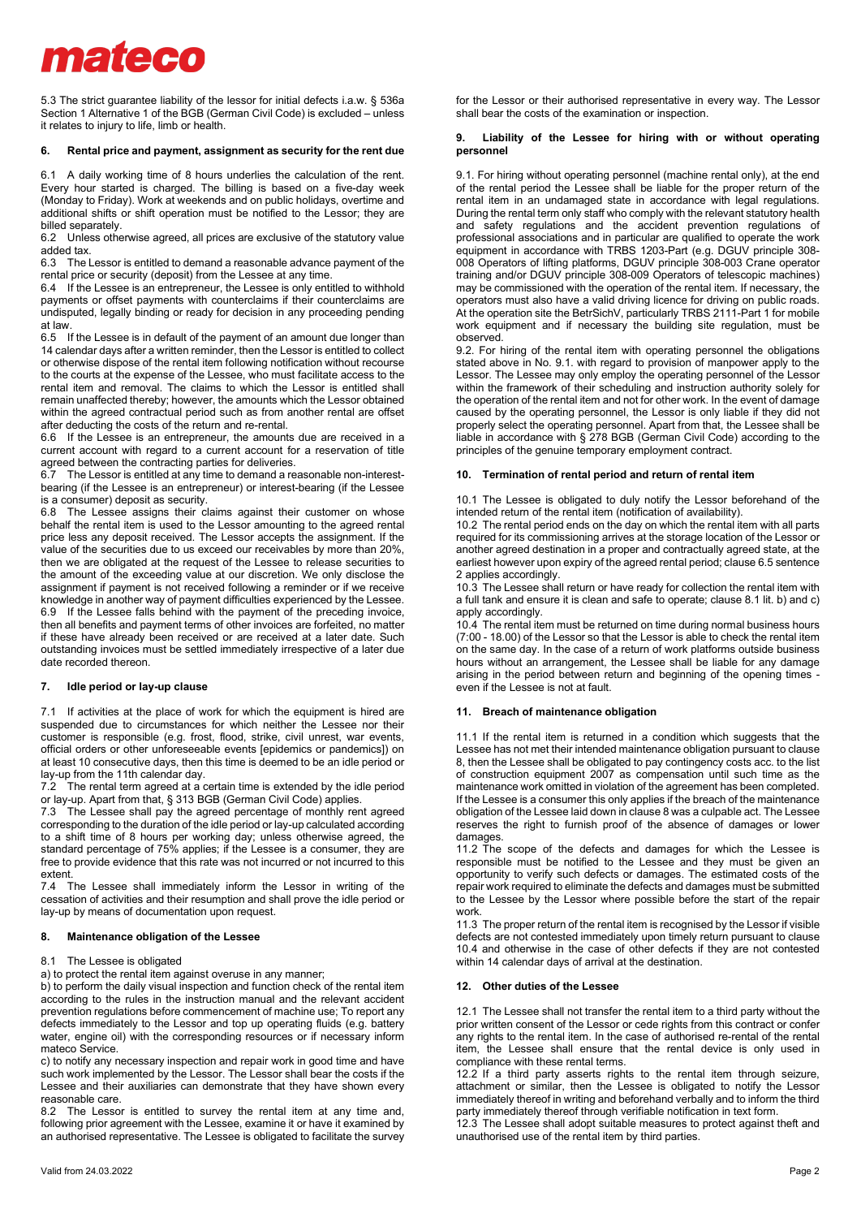# mateco

5.3 The strict guarantee liability of the lessor for initial defects i.a.w. § 536a Section 1 Alternative 1 of the BGB (German Civil Code) is excluded – unless it relates to injury to life, limb or health.

## **6. Rental price and payment, assignment as security for the rent due**

6.1 A daily working time of 8 hours underlies the calculation of the rent. Every hour started is charged. The billing is based on a five-day week (Monday to Friday). Work at weekends and on public holidays, overtime and additional shifts or shift operation must be notified to the Lessor; they are billed separately.

6.2 Unless otherwise agreed, all prices are exclusive of the statutory value added tax.

6.3 The Lessor is entitled to demand a reasonable advance payment of the rental price or security (deposit) from the Lessee at any time.

6.4 If the Lessee is an entrepreneur, the Lessee is only entitled to withhold payments or offset payments with counterclaims if their counterclaims are undisputed, legally binding or ready for decision in any proceeding pending at law.

6.5 If the Lessee is in default of the payment of an amount due longer than 14 calendar days after a written reminder, then the Lessor is entitled to collect or otherwise dispose of the rental item following notification without recourse to the courts at the expense of the Lessee, who must facilitate access to the rental item and removal. The claims to which the Lessor is entitled shall remain unaffected thereby; however, the amounts which the Lessor obtained within the agreed contractual period such as from another rental are offset after deducting the costs of the return and re-rental.

6.6 If the Lessee is an entrepreneur, the amounts due are received in a current account with regard to a current account for a reservation of title agreed between the contracting parties for deliveries.

6.7 The Lessor is entitled at any time to demand a reasonable non-interestbearing (if the Lessee is an entrepreneur) or interest-bearing (if the Lessee is a consumer) deposit as security.

6.8 The Lessee assigns their claims against their customer on whose behalf the rental item is used to the Lessor amounting to the agreed rental price less any deposit received. The Lessor accepts the assignment. If the value of the securities due to us exceed our receivables by more than 20%, then we are obligated at the request of the Lessee to release securities to the amount of the exceeding value at our discretion. We only disclose the assignment if payment is not received following a reminder or if we receive knowledge in another way of payment difficulties experienced by the Lessee. 6.9 If the Lessee falls behind with the payment of the preceding invoice, then all benefits and payment terms of other invoices are forfeited, no matter if these have already been received or are received at a later date. Such outstanding invoices must be settled immediately irrespective of a later due date recorded thereon.

## **7. Idle period or lay-up clause**

7.1 If activities at the place of work for which the equipment is hired are suspended due to circumstances for which neither the Lessee nor their customer is responsible (e.g. frost, flood, strike, civil unrest, war events, official orders or other unforeseeable events [epidemics or pandemics]) on at least 10 consecutive days, then this time is deemed to be an idle period or lay-up from the 11th calendar day.<br>7.2 The rental term agreed at a c

The rental term agreed at a certain time is extended by the idle period or lay-up. Apart from that, § 313 BGB (German Civil Code) applies.

7.3 The Lessee shall pay the agreed percentage of monthly rent agreed corresponding to the duration of the idle period or lay-up calculated according to a shift time of 8 hours per working day; unless otherwise agreed, the standard percentage of 75% applies; if the Lessee is a consumer, they are free to provide evidence that this rate was not incurred or not incurred to this extent.

7.4 The Lessee shall immediately inform the Lessor in writing of the cessation of activities and their resumption and shall prove the idle period or lay-up by means of documentation upon request.

## **8. Maintenance obligation of the Lessee**

## 8.1 The Lessee is obligated

a) to protect the rental item against overuse in any manner;

b) to perform the daily visual inspection and function check of the rental item according to the rules in the instruction manual and the relevant accident prevention regulations before commencement of machine use; To report any defects immediately to the Lessor and top up operating fluids (e.g. battery water, engine oil) with the corresponding resources or if necessary inform mateco Service.

c) to notify any necessary inspection and repair work in good time and have such work implemented by the Lessor. The Lessor shall bear the costs if the Lessee and their auxiliaries can demonstrate that they have shown every reasonable care.

8.2 The Lessor is entitled to survey the rental item at any time and, following prior agreement with the Lessee, examine it or have it examined by an authorised representative. The Lessee is obligated to facilitate the survey

for the Lessor or their authorised representative in every way. The Lessor shall bear the costs of the examination or inspection.

## **9. Liability of the Lessee for hiring with or without operating personnel**

9.1. For hiring without operating personnel (machine rental only), at the end of the rental period the Lessee shall be liable for the proper return of the rental item in an undamaged state in accordance with legal regulations. During the rental term only staff who comply with the relevant statutory health and safety regulations and the accident prevention regulations of professional associations and in particular are qualified to operate the work equipment in accordance with TRBS 1203-Part (e.g. DGUV principle 308- 008 Operators of lifting platforms, DGUV principle 308-003 Crane operator training and/or DGUV principle 308-009 Operators of telescopic machines) may be commissioned with the operation of the rental item. If necessary, the operators must also have a valid driving licence for driving on public roads. At the operation site the BetrSichV, particularly TRBS 2111-Part 1 for mobile work equipment and if necessary the building site regulation, must be observed.

9.2. For hiring of the rental item with operating personnel the obligations stated above in No. 9.1. with regard to provision of manpower apply to the Lessor. The Lessee may only employ the operating personnel of the Lessor within the framework of their scheduling and instruction authority solely for the operation of the rental item and not for other work. In the event of damage caused by the operating personnel, the Lessor is only liable if they did not properly select the operating personnel. Apart from that, the Lessee shall be liable in accordance with § 278 BGB (German Civil Code) according to the principles of the genuine temporary employment contract.

### **10. Termination of rental period and return of rental item**

10.1 The Lessee is obligated to duly notify the Lessor beforehand of the intended return of the rental item (notification of availability).

10.2 The rental period ends on the day on which the rental item with all parts required for its commissioning arrives at the storage location of the Lessor or another agreed destination in a proper and contractually agreed state, at the earliest however upon expiry of the agreed rental period; clause 6.5 sentence 2 applies accordingly.

10.3 The Lessee shall return or have ready for collection the rental item with a full tank and ensure it is clean and safe to operate; clause 8.1 lit. b) and c) apply accordingly.

10.4 The rental item must be returned on time during normal business hours (7:00 - 18.00) of the Lessor so that the Lessor is able to check the rental item on the same day. In the case of a return of work platforms outside business hours without an arrangement, the Lessee shall be liable for any damage arising in the period between return and beginning of the opening times even if the Lessee is not at fault.

#### **11. Breach of maintenance obligation**

11.1 If the rental item is returned in a condition which suggests that the Lessee has not met their intended maintenance obligation pursuant to clause 8, then the Lessee shall be obligated to pay contingency costs acc. to the list of construction equipment 2007 as compensation until such time as the maintenance work omitted in violation of the agreement has been completed. If the Lessee is a consumer this only applies if the breach of the maintenance obligation of the Lessee laid down in clause 8 was a culpable act. The Lessee reserves the right to furnish proof of the absence of damages or lower damages.

11.2 The scope of the defects and damages for which the Lessee is responsible must be notified to the Lessee and they must be given an opportunity to verify such defects or damages. The estimated costs of the repair work required to eliminate the defects and damages must be submitted to the Lessee by the Lessor where possible before the start of the repair work.

11.3 The proper return of the rental item is recognised by the Lessor if visible defects are not contested immediately upon timely return pursuant to clause 10.4 and otherwise in the case of other defects if they are not contested within 14 calendar days of arrival at the destination.

#### **12. Other duties of the Lessee**

12.1 The Lessee shall not transfer the rental item to a third party without the prior written consent of the Lessor or cede rights from this contract or confer any rights to the rental item. In the case of authorised re-rental of the rental item, the Lessee shall ensure that the rental device is only used in compliance with these rental terms.

12.2 If a third party asserts rights to the rental item through seizure, attachment or similar, then the Lessee is obligated to notify the Lessor immediately thereof in writing and beforehand verbally and to inform the third party immediately thereof through verifiable notification in text form.

12.3 The Lessee shall adopt suitable measures to protect against theft and unauthorised use of the rental item by third parties.